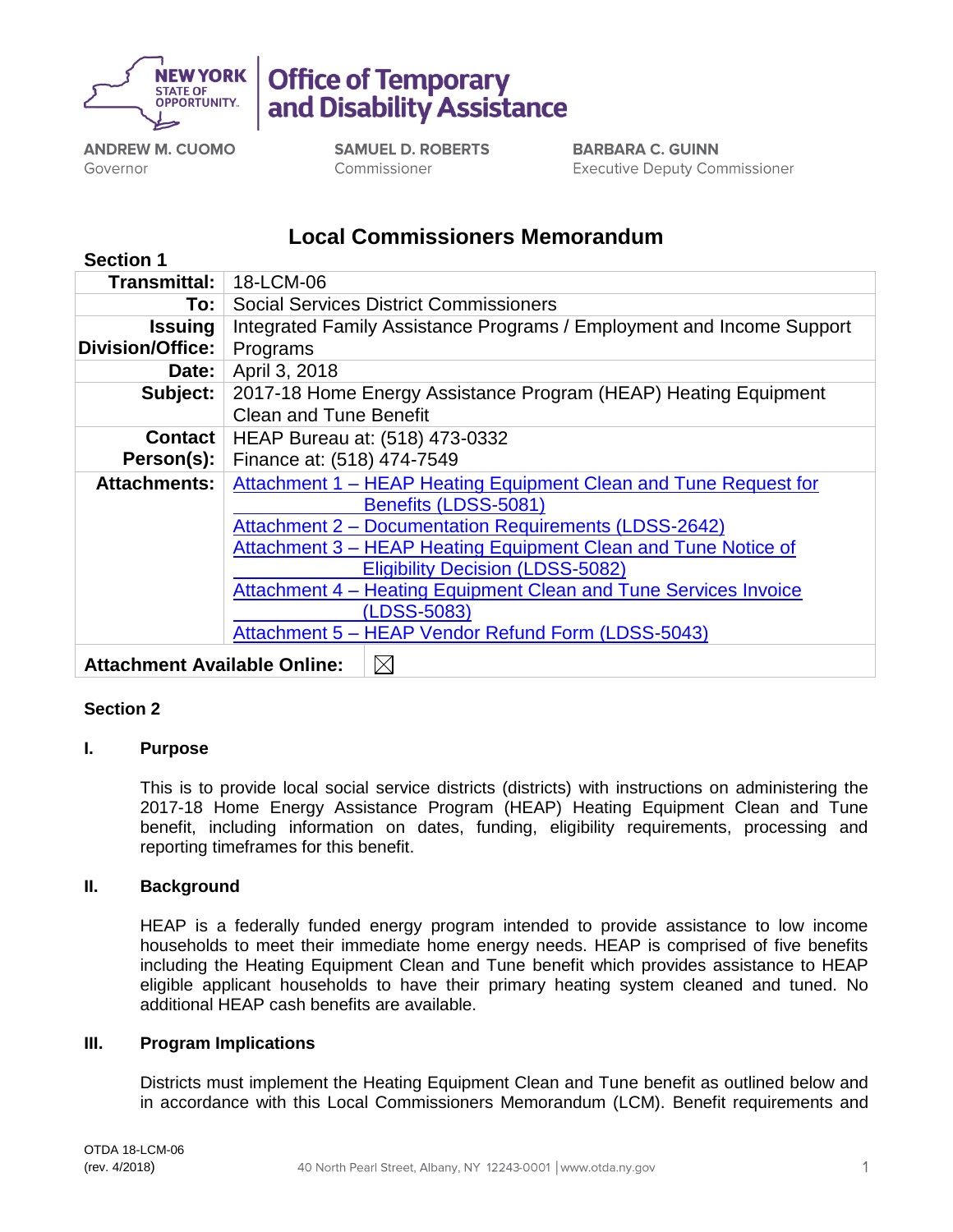

**Office of Temporary** and Disability Assistance

**ANDREW M. CUOMO** Governor

**SAMUEL D. ROBERTS** Commissioner

**BARBARA C. GUINN Executive Deputy Commissioner** 

# **Local Commissioners Memorandum**

| <b>Section 1</b>                    |                                                                       |  |  |  |  |  |  |  |  |
|-------------------------------------|-----------------------------------------------------------------------|--|--|--|--|--|--|--|--|
| Transmittal:                        | 18-LCM-06                                                             |  |  |  |  |  |  |  |  |
| To:                                 | <b>Social Services District Commissioners</b>                         |  |  |  |  |  |  |  |  |
| <b>Issuing</b>                      | Integrated Family Assistance Programs / Employment and Income Support |  |  |  |  |  |  |  |  |
| <b>Division/Office:</b>             | Programs                                                              |  |  |  |  |  |  |  |  |
| Date:                               | April 3, 2018                                                         |  |  |  |  |  |  |  |  |
| Subject:                            | 2017-18 Home Energy Assistance Program (HEAP) Heating Equipment       |  |  |  |  |  |  |  |  |
|                                     | <b>Clean and Tune Benefit</b>                                         |  |  |  |  |  |  |  |  |
| <b>Contact</b>                      | HEAP Bureau at: (518) 473-0332                                        |  |  |  |  |  |  |  |  |
| Person(s):                          | Finance at: (518) 474-7549                                            |  |  |  |  |  |  |  |  |
| <b>Attachments:</b>                 | Attachment 1 - HEAP Heating Equipment Clean and Tune Request for      |  |  |  |  |  |  |  |  |
|                                     | Benefits (LDSS-5081)                                                  |  |  |  |  |  |  |  |  |
|                                     | Attachment 2 - Documentation Requirements (LDSS-2642)                 |  |  |  |  |  |  |  |  |
|                                     | Attachment 3 – HEAP Heating Equipment Clean and Tune Notice of        |  |  |  |  |  |  |  |  |
|                                     | <b>Eligibility Decision (LDSS-5082)</b>                               |  |  |  |  |  |  |  |  |
|                                     | Attachment 4 – Heating Equipment Clean and Tune Services Invoice      |  |  |  |  |  |  |  |  |
|                                     | (LDSS-5083)                                                           |  |  |  |  |  |  |  |  |
|                                     | Attachment 5 - HEAP Vendor Refund Form (LDSS-5043)                    |  |  |  |  |  |  |  |  |
| <b>Attachment Available Online:</b> | $\boxtimes$                                                           |  |  |  |  |  |  |  |  |

# **Section 2**

# **I. Purpose**

This is to provide local social service districts (districts) with instructions on administering the 2017-18 Home Energy Assistance Program (HEAP) Heating Equipment Clean and Tune benefit, including information on dates, funding, eligibility requirements, processing and reporting timeframes for this benefit.

# **II. Background**

HEAP is a federally funded energy program intended to provide assistance to low income households to meet their immediate home energy needs. HEAP is comprised of five benefits including the Heating Equipment Clean and Tune benefit which provides assistance to HEAP eligible applicant households to have their primary heating system cleaned and tuned. No additional HEAP cash benefits are available.

# **III. Program Implications**

Districts must implement the Heating Equipment Clean and Tune benefit as outlined below and in accordance with this Local Commissioners Memorandum (LCM). Benefit requirements and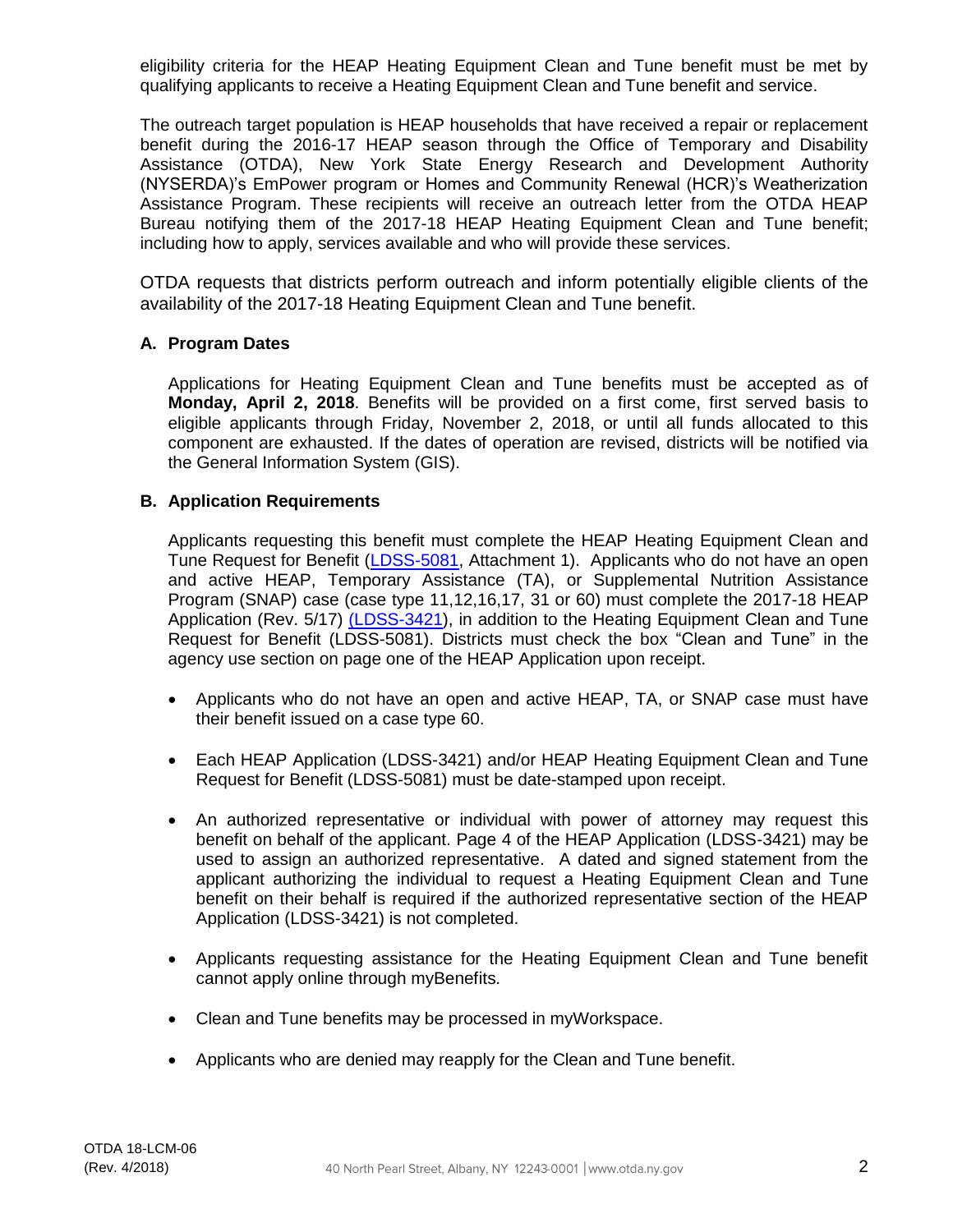eligibility criteria for the HEAP Heating Equipment Clean and Tune benefit must be met by qualifying applicants to receive a Heating Equipment Clean and Tune benefit and service.

The outreach target population is HEAP households that have received a repair or replacement benefit during the 2016-17 HEAP season through the Office of Temporary and Disability Assistance (OTDA), New York State Energy Research and Development Authority (NYSERDA)'s EmPower program or Homes and Community Renewal (HCR)'s Weatherization Assistance Program. These recipients will receive an outreach letter from the OTDA HEAP Bureau notifying them of the 2017-18 HEAP Heating Equipment Clean and Tune benefit; including how to apply, services available and who will provide these services.

OTDA requests that districts perform outreach and inform potentially eligible clients of the availability of the 2017-18 Heating Equipment Clean and Tune benefit.

# **A. Program Dates**

Applications for Heating Equipment Clean and Tune benefits must be accepted as of **Monday, April 2, 2018**. Benefits will be provided on a first come, first served basis to eligible applicants through Friday, November 2, 2018, or until all funds allocated to this component are exhausted. If the dates of operation are revised, districts will be notified via the General Information System (GIS).

# **B. Application Requirements**

Applicants requesting this benefit must complete the HEAP Heating Equipment Clean and Tune Request for Benefit [\(LDSS-5081,](http://otda.state.nyenet/ldss_eforms/eforms/5081.pdf) Attachment 1). Applicants who do not have an open and active HEAP, Temporary Assistance (TA), or Supplemental Nutrition Assistance Program (SNAP) case (case type 11,12,16,17, 31 or 60) must complete the 2017-18 HEAP Application (Rev. 5/17) [\(LDSS-3421\)](http://otda.state.nyenet/ldss_eforms/eforms/3421.pdf), in addition to the Heating Equipment Clean and Tune Request for Benefit (LDSS-5081). Districts must check the box "Clean and Tune" in the agency use section on page one of the HEAP Application upon receipt.

- Applicants who do not have an open and active HEAP, TA, or SNAP case must have their benefit issued on a case type 60.
- Each HEAP Application (LDSS-3421) and/or HEAP Heating Equipment Clean and Tune Request for Benefit (LDSS-5081) must be date-stamped upon receipt.
- An authorized representative or individual with power of attorney may request this benefit on behalf of the applicant. Page 4 of the HEAP Application (LDSS-3421) may be used to assign an authorized representative. A dated and signed statement from the applicant authorizing the individual to request a Heating Equipment Clean and Tune benefit on their behalf is required if the authorized representative section of the HEAP Application (LDSS-3421) is not completed.
- Applicants requesting assistance for the Heating Equipment Clean and Tune benefit cannot apply online through myBenefits.
- Clean and Tune benefits may be processed in myWorkspace.
- Applicants who are denied may reapply for the Clean and Tune benefit.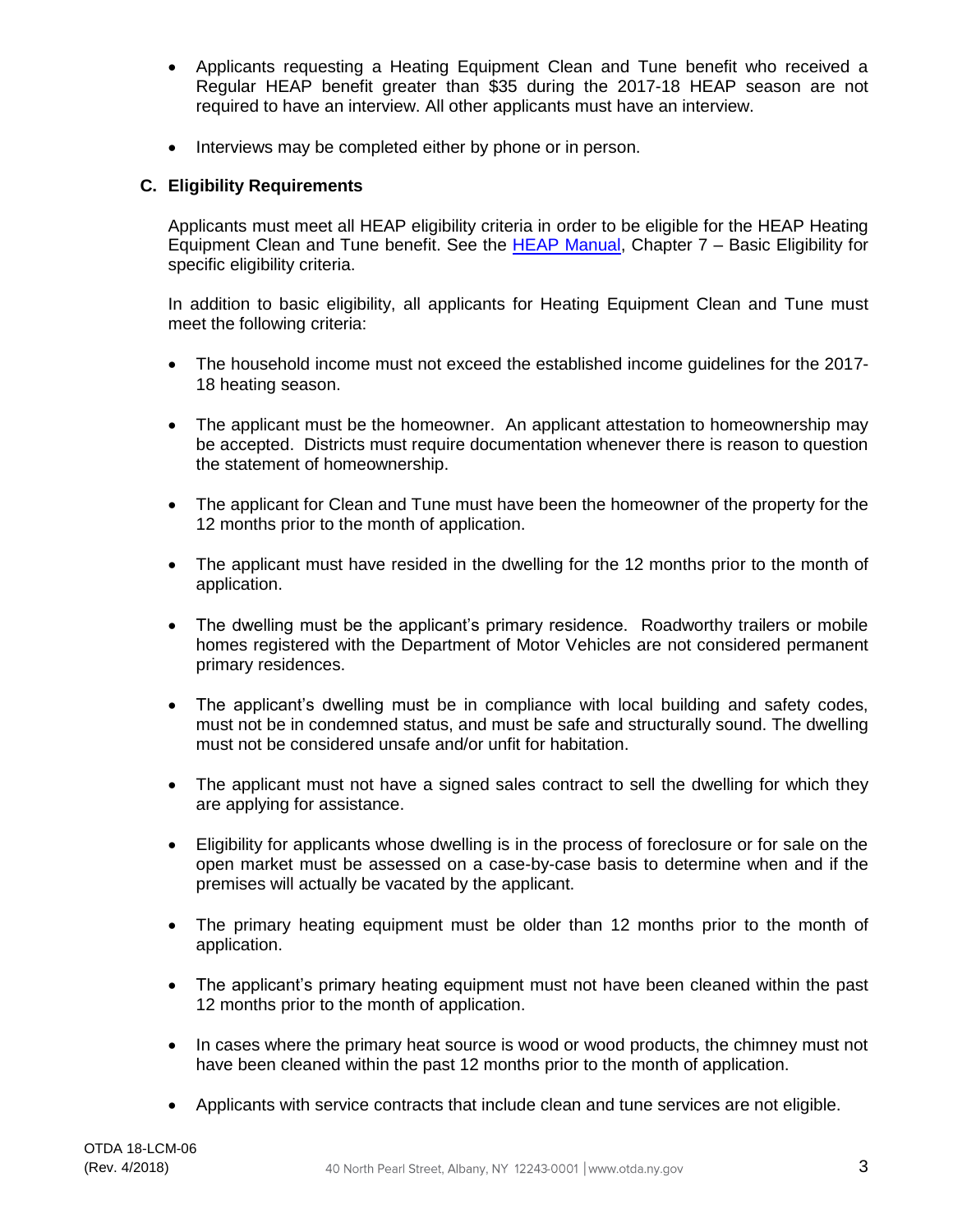- Applicants requesting a Heating Equipment Clean and Tune benefit who received a Regular HEAP benefit greater than \$35 during the 2017-18 HEAP season are not required to have an interview. All other applicants must have an interview.
- Interviews may be completed either by phone or in person.

# **C. Eligibility Requirements**

Applicants must meet all HEAP eligibility criteria in order to be eligible for the HEAP Heating Equipment Clean and Tune benefit. See the [HEAP Manual,](http://otda.ny.gov/programs/heap/heap-manual.pdf) Chapter 7 - Basic Eligibility for specific eligibility criteria.

In addition to basic eligibility, all applicants for Heating Equipment Clean and Tune must meet the following criteria:

- The household income must not exceed the established income guidelines for the 2017- 18 heating season.
- The applicant must be the homeowner. An applicant attestation to homeownership may be accepted. Districts must require documentation whenever there is reason to question the statement of homeownership.
- The applicant for Clean and Tune must have been the homeowner of the property for the 12 months prior to the month of application.
- The applicant must have resided in the dwelling for the 12 months prior to the month of application.
- The dwelling must be the applicant's primary residence. Roadworthy trailers or mobile homes registered with the Department of Motor Vehicles are not considered permanent primary residences.
- The applicant's dwelling must be in compliance with local building and safety codes, must not be in condemned status, and must be safe and structurally sound. The dwelling must not be considered unsafe and/or unfit for habitation.
- The applicant must not have a signed sales contract to sell the dwelling for which they are applying for assistance.
- Eligibility for applicants whose dwelling is in the process of foreclosure or for sale on the open market must be assessed on a case-by-case basis to determine when and if the premises will actually be vacated by the applicant.
- The primary heating equipment must be older than 12 months prior to the month of application.
- The applicant's primary heating equipment must not have been cleaned within the past 12 months prior to the month of application.
- In cases where the primary heat source is wood or wood products, the chimney must not have been cleaned within the past 12 months prior to the month of application.
- Applicants with service contracts that include clean and tune services are not eligible.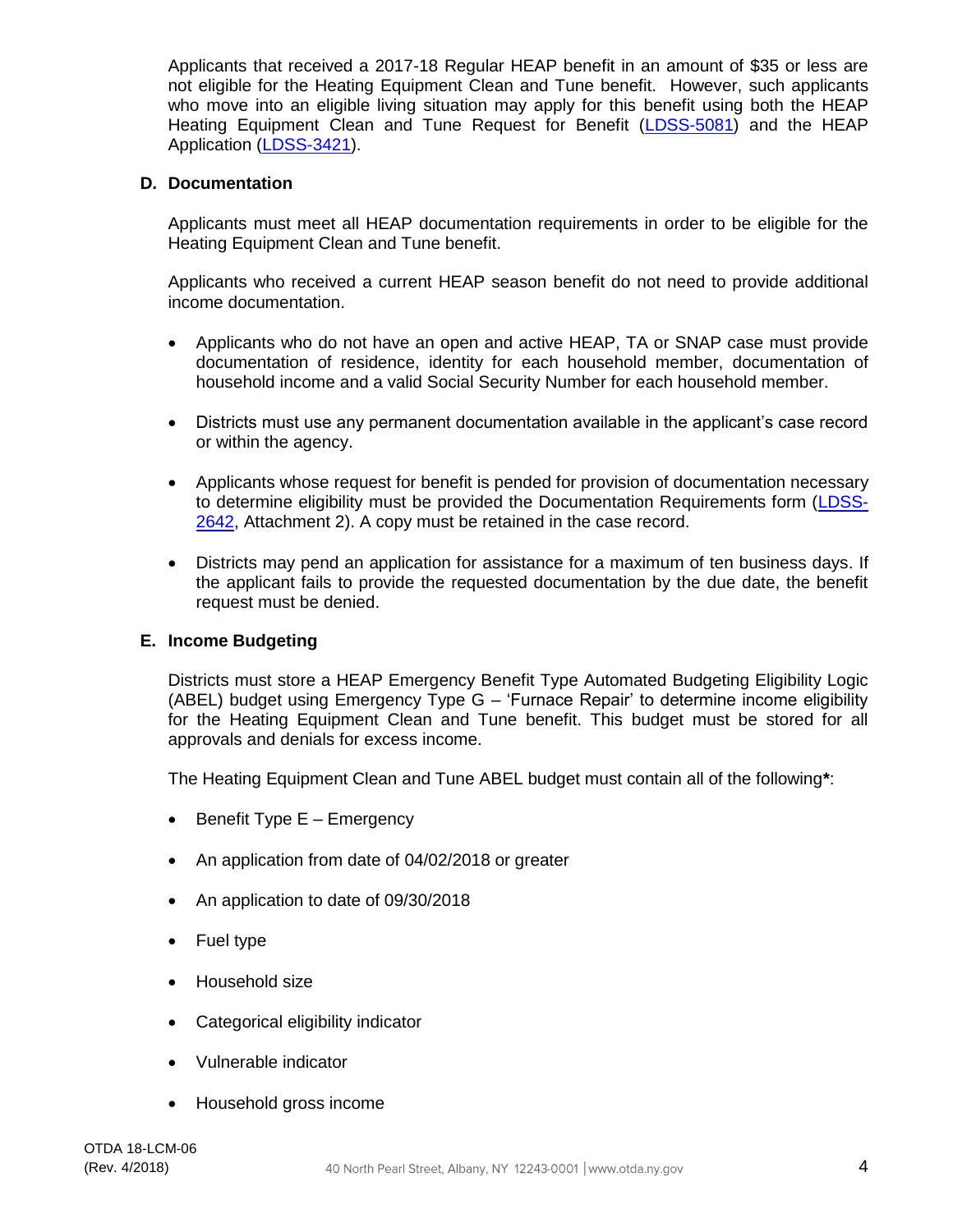Applicants that received a 2017-18 Regular HEAP benefit in an amount of \$35 or less are not eligible for the Heating Equipment Clean and Tune benefit. However, such applicants who move into an eligible living situation may apply for this benefit using both the HEAP Heating Equipment Clean and Tune Request for Benefit [\(LDSS-5081\)](https://otda.state.nyenet/ldss_eforms/eforms/5081.pdf) and the HEAP Application [\(LDSS-3421\)](http://otda.state.nyenet/ldss_eforms/eforms/3421.pdf).

#### **D. Documentation**

Applicants must meet all HEAP documentation requirements in order to be eligible for the Heating Equipment Clean and Tune benefit.

Applicants who received a current HEAP season benefit do not need to provide additional income documentation.

- Applicants who do not have an open and active HEAP, TA or SNAP case must provide documentation of residence, identity for each household member, documentation of household income and a valid Social Security Number for each household member.
- Districts must use any permanent documentation available in the applicant's case record or within the agency.
- Applicants whose request for benefit is pended for provision of documentation necessary to determine eligibility must be provided the Documentation Requirements form [\(LDSS-](http://otda.state.nyenet/ldss_eforms/eforms/2642.pdf)[2642,](http://otda.state.nyenet/ldss_eforms/eforms/2642.pdf) Attachment 2). A copy must be retained in the case record.
- Districts may pend an application for assistance for a maximum of ten business days. If the applicant fails to provide the requested documentation by the due date, the benefit request must be denied.

# **E. Income Budgeting**

Districts must store a HEAP Emergency Benefit Type Automated Budgeting Eligibility Logic (ABEL) budget using Emergency Type G – 'Furnace Repair' to determine income eligibility for the Heating Equipment Clean and Tune benefit. This budget must be stored for all approvals and denials for excess income.

The Heating Equipment Clean and Tune ABEL budget must contain all of the following**\***:

- Benefit Type E Emergency
- An application from date of 04/02/2018 or greater
- An application to date of 09/30/2018
- Fuel type
- Household size
- Categorical eligibility indicator
- Vulnerable indicator
- Household gross income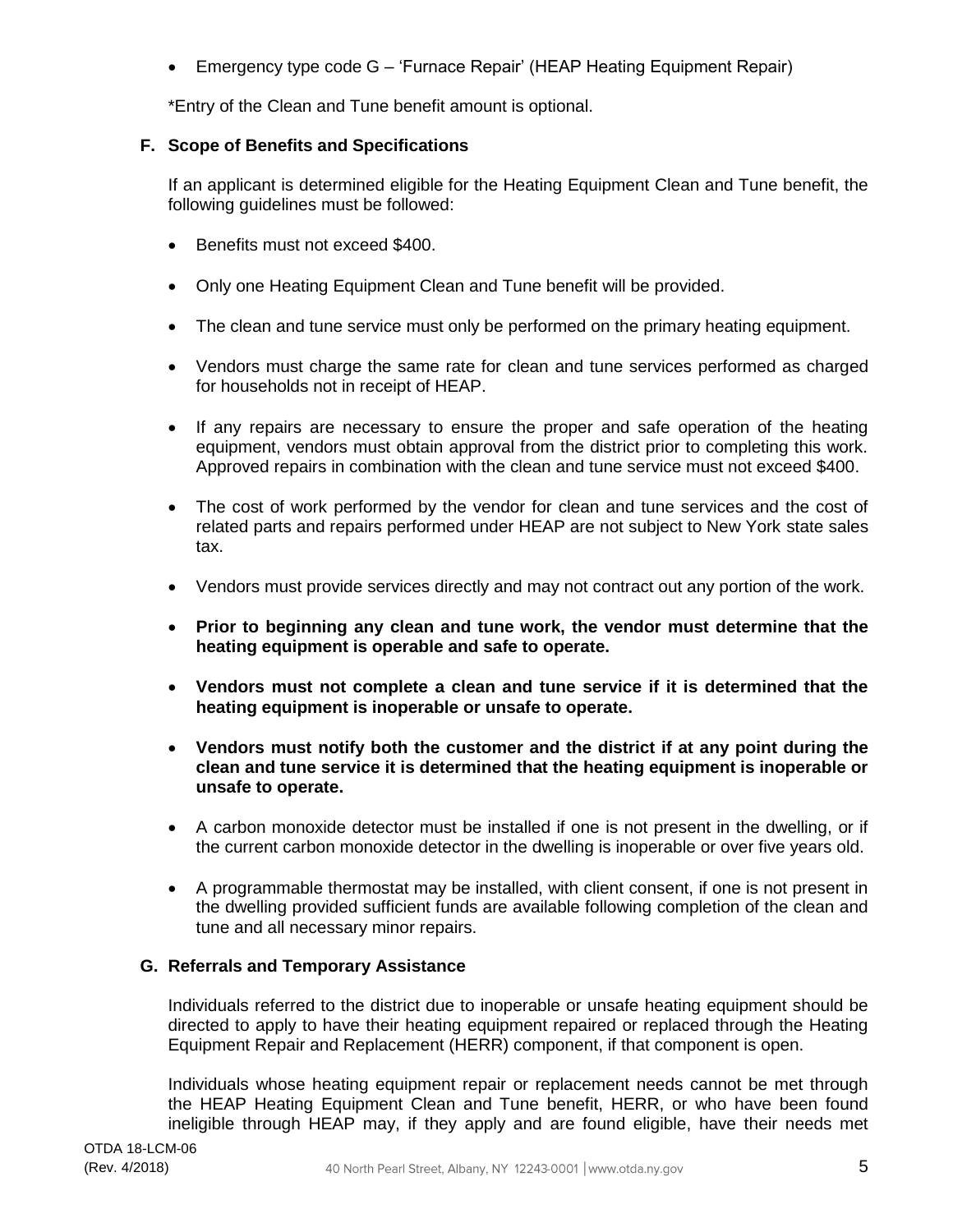• Emergency type code G – 'Furnace Repair' (HEAP Heating Equipment Repair)

\*Entry of the Clean and Tune benefit amount is optional.

# **F. Scope of Benefits and Specifications**

If an applicant is determined eligible for the Heating Equipment Clean and Tune benefit, the following guidelines must be followed:

- Benefits must not exceed \$400.
- Only one Heating Equipment Clean and Tune benefit will be provided.
- The clean and tune service must only be performed on the primary heating equipment.
- Vendors must charge the same rate for clean and tune services performed as charged for households not in receipt of HEAP.
- If any repairs are necessary to ensure the proper and safe operation of the heating equipment, vendors must obtain approval from the district prior to completing this work. Approved repairs in combination with the clean and tune service must not exceed \$400.
- The cost of work performed by the vendor for clean and tune services and the cost of related parts and repairs performed under HEAP are not subject to New York state sales tax.
- Vendors must provide services directly and may not contract out any portion of the work.
- **Prior to beginning any clean and tune work, the vendor must determine that the heating equipment is operable and safe to operate.**
- **Vendors must not complete a clean and tune service if it is determined that the heating equipment is inoperable or unsafe to operate.**
- **Vendors must notify both the customer and the district if at any point during the clean and tune service it is determined that the heating equipment is inoperable or unsafe to operate.**
- A carbon monoxide detector must be installed if one is not present in the dwelling, or if the current carbon monoxide detector in the dwelling is inoperable or over five years old.
- A programmable thermostat may be installed, with client consent, if one is not present in the dwelling provided sufficient funds are available following completion of the clean and tune and all necessary minor repairs.

# **G. Referrals and Temporary Assistance**

Individuals referred to the district due to inoperable or unsafe heating equipment should be directed to apply to have their heating equipment repaired or replaced through the Heating Equipment Repair and Replacement (HERR) component, if that component is open.

Individuals whose heating equipment repair or replacement needs cannot be met through the HEAP Heating Equipment Clean and Tune benefit, HERR, or who have been found ineligible through HEAP may, if they apply and are found eligible, have their needs met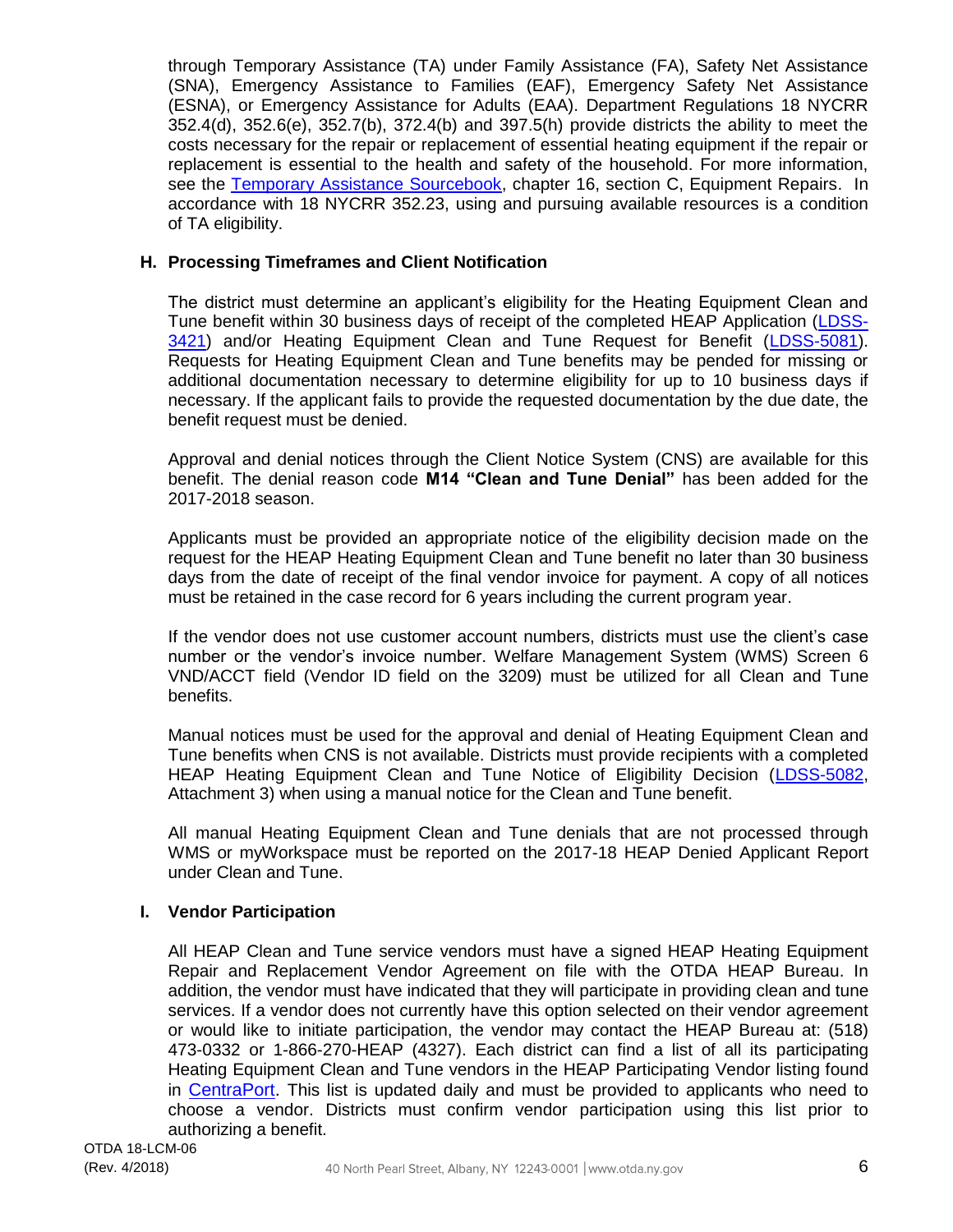through Temporary Assistance (TA) under Family Assistance (FA), Safety Net Assistance (SNA), Emergency Assistance to Families (EAF), Emergency Safety Net Assistance (ESNA), or Emergency Assistance for Adults (EAA). Department Regulations 18 NYCRR 352.4(d), 352.6(e), 352.7(b), 372.4(b) and 397.5(h) provide districts the ability to meet the costs necessary for the repair or replacement of essential heating equipment if the repair or replacement is essential to the health and safety of the household. For more information, see the [Temporary Assistance Sourcebook,](http://otda.ny.gov/programs/temporary-assistance/TASB.pdf) chapter 16, section C, Equipment Repairs. In accordance with 18 NYCRR 352.23, using and pursuing available resources is a condition of TA eligibility.

# **H. Processing Timeframes and Client Notification**

The district must determine an applicant's eligibility for the Heating Equipment Clean and Tune benefit within 30 business days of receipt of the completed HEAP Application [\(LDSS-](http://otda.state.nyenet/ldss_eforms/eforms/3421.pdf)[3421\)](http://otda.state.nyenet/ldss_eforms/eforms/3421.pdf) and/or Heating Equipment Clean and Tune Request for Benefit [\(LDSS-5081\)](https://otda.state.nyenet/ldss_eforms/eforms/5081.pdf). Requests for Heating Equipment Clean and Tune benefits may be pended for missing or additional documentation necessary to determine eligibility for up to 10 business days if necessary. If the applicant fails to provide the requested documentation by the due date, the benefit request must be denied.

Approval and denial notices through the Client Notice System (CNS) are available for this benefit. The denial reason code **M14 "Clean and Tune Denial"** has been added for the 2017-2018 season.

Applicants must be provided an appropriate notice of the eligibility decision made on the request for the HEAP Heating Equipment Clean and Tune benefit no later than 30 business days from the date of receipt of the final vendor invoice for payment. A copy of all notices must be retained in the case record for 6 years including the current program year.

If the vendor does not use customer account numbers, districts must use the client's case number or the vendor's invoice number. Welfare Management System (WMS) Screen 6 VND/ACCT field (Vendor ID field on the 3209) must be utilized for all Clean and Tune benefits.

Manual notices must be used for the approval and denial of Heating Equipment Clean and Tune benefits when CNS is not available. Districts must provide recipients with a completed HEAP Heating Equipment Clean and Tune Notice of Eligibility Decision [\(LDSS-5082,](http://otda.state.nyenet/ldss_eforms/eforms/5082.pdf) Attachment 3) when using a manual notice for the Clean and Tune benefit.

All manual Heating Equipment Clean and Tune denials that are not processed through WMS or myWorkspace must be reported on the 2017-18 HEAP Denied Applicant Report under Clean and Tune.

# **I. Vendor Participation**

All HEAP Clean and Tune service vendors must have a signed HEAP Heating Equipment Repair and Replacement Vendor Agreement on file with the OTDA HEAP Bureau. In addition, the vendor must have indicated that they will participate in providing clean and tune services. If a vendor does not currently have this option selected on their vendor agreement or would like to initiate participation, the vendor may contact the HEAP Bureau at: (518) 473-0332 or 1-866-270-HEAP (4327). Each district can find a list of all its participating Heating Equipment Clean and Tune vendors in the HEAP Participating Vendor listing found in [CentraPort.](https://centraport.otda.state.nyenet/centraport) This list is updated daily and must be provided to applicants who need to choose a vendor. Districts must confirm vendor participation using this list prior to authorizing a benefit.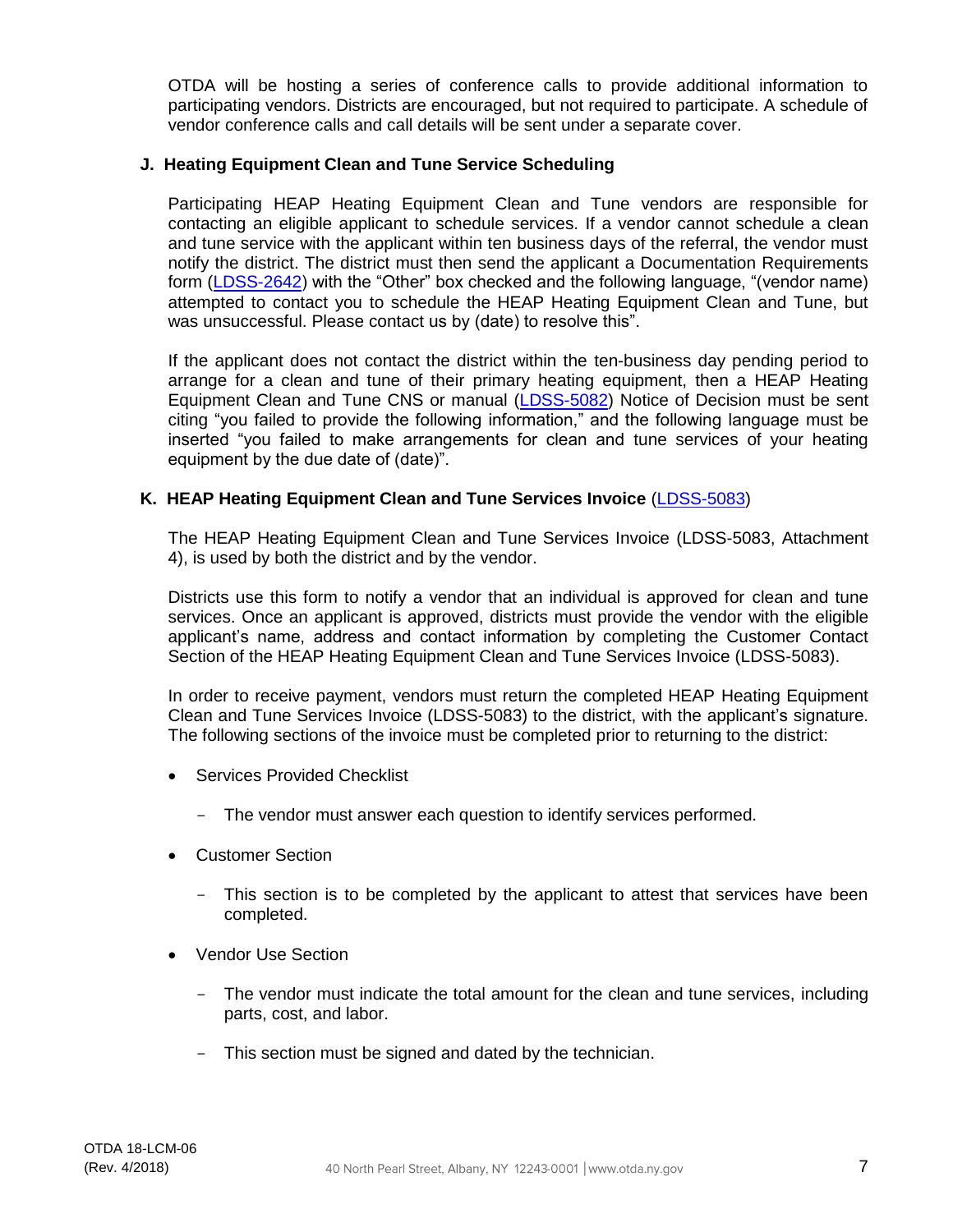OTDA will be hosting a series of conference calls to provide additional information to participating vendors. Districts are encouraged, but not required to participate. A schedule of vendor conference calls and call details will be sent under a separate cover.

#### **J. Heating Equipment Clean and Tune Service Scheduling**

Participating HEAP Heating Equipment Clean and Tune vendors are responsible for contacting an eligible applicant to schedule services. If a vendor cannot schedule a clean and tune service with the applicant within ten business days of the referral, the vendor must notify the district. The district must then send the applicant a Documentation Requirements form [\(LDSS-2642\)](https://otda.state.nyenet/ldss_eforms/eforms/2642.pdf) with the "Other" box checked and the following language, "(vendor name) attempted to contact you to schedule the HEAP Heating Equipment Clean and Tune, but was unsuccessful. Please contact us by (date) to resolve this".

If the applicant does not contact the district within the ten-business day pending period to arrange for a clean and tune of their primary heating equipment, then a HEAP Heating Equipment Clean and Tune CNS or manual [\(LDSS-5082\)](https://otda.state.nyenet/ldss_eforms/eforms/5082.pdf) Notice of Decision must be sent citing "you failed to provide the following information," and the following language must be inserted "you failed to make arrangements for clean and tune services of your heating equipment by the due date of (date)".

#### **K. HEAP Heating Equipment Clean and Tune Services Invoice** [\(LDSS-5083\)](http://otda.state.nyenet/ldss_eforms/eforms/5083.pdf)

The HEAP Heating Equipment Clean and Tune Services Invoice (LDSS-5083, Attachment 4), is used by both the district and by the vendor.

Districts use this form to notify a vendor that an individual is approved for clean and tune services. Once an applicant is approved, districts must provide the vendor with the eligible applicant's name, address and contact information by completing the Customer Contact Section of the HEAP Heating Equipment Clean and Tune Services Invoice (LDSS-5083).

In order to receive payment, vendors must return the completed HEAP Heating Equipment Clean and Tune Services Invoice (LDSS-5083) to the district, with the applicant's signature. The following sections of the invoice must be completed prior to returning to the district:

- Services Provided Checklist
	- The vendor must answer each question to identify services performed.
- Customer Section
	- This section is to be completed by the applicant to attest that services have been completed.
- Vendor Use Section
	- The vendor must indicate the total amount for the clean and tune services, including parts, cost, and labor.
	- This section must be signed and dated by the technician.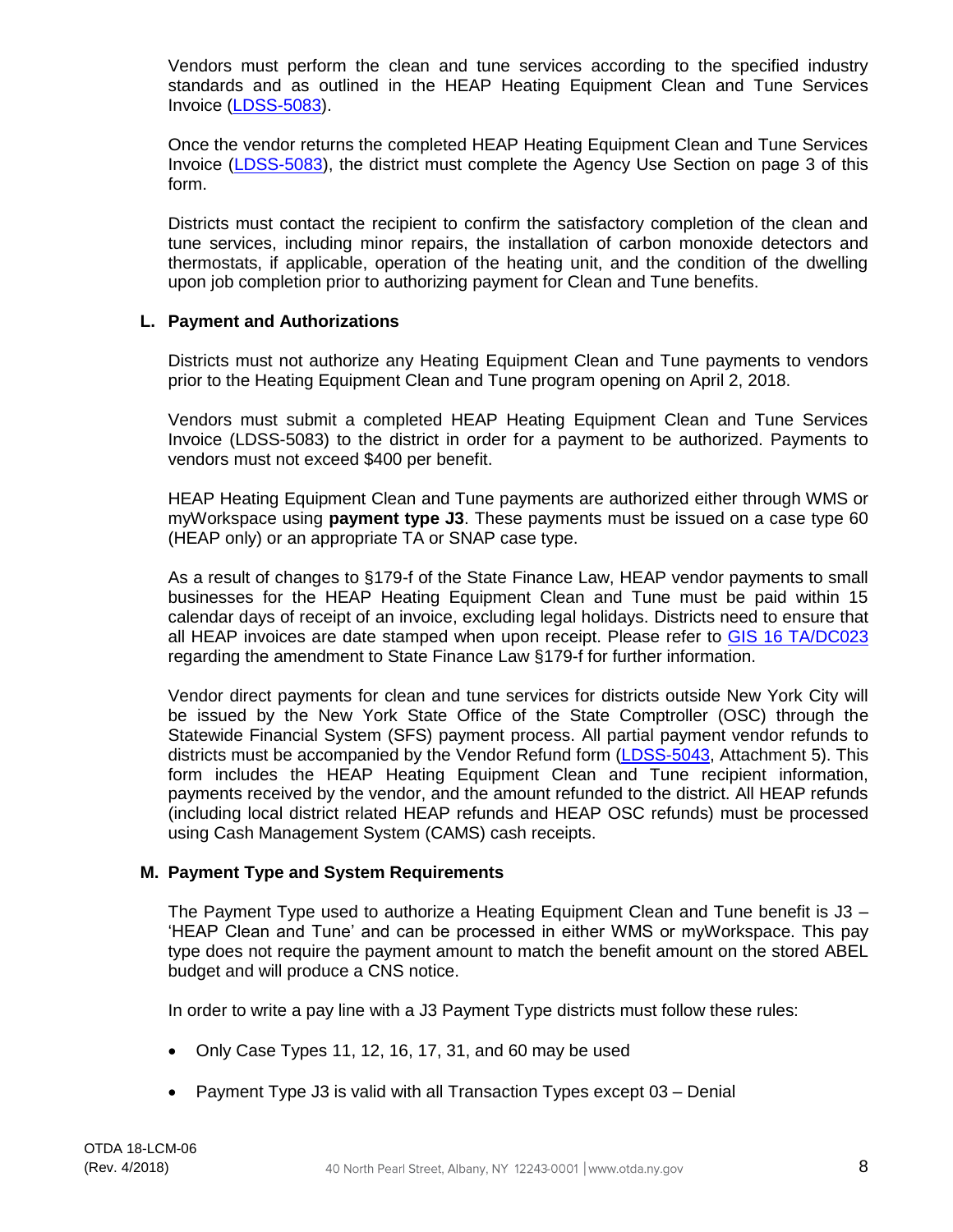Vendors must perform the clean and tune services according to the specified industry standards and as outlined in the HEAP Heating Equipment Clean and Tune Services Invoice [\(LDSS-5083\)](http://otda.state.nyenet/ldss_eforms/eforms/5083.pdf).

Once the vendor returns the completed HEAP Heating Equipment Clean and Tune Services Invoice [\(LDSS-5083\)](http://otda.state.nyenet/ldss_eforms/eforms/5083.pdf), the district must complete the Agency Use Section on page 3 of this form.

Districts must contact the recipient to confirm the satisfactory completion of the clean and tune services, including minor repairs, the installation of carbon monoxide detectors and thermostats, if applicable, operation of the heating unit, and the condition of the dwelling upon job completion prior to authorizing payment for Clean and Tune benefits.

# **L. Payment and Authorizations**

Districts must not authorize any Heating Equipment Clean and Tune payments to vendors prior to the Heating Equipment Clean and Tune program opening on April 2, 2018.

Vendors must submit a completed HEAP Heating Equipment Clean and Tune Services Invoice (LDSS-5083) to the district in order for a payment to be authorized. Payments to vendors must not exceed \$400 per benefit.

HEAP Heating Equipment Clean and Tune payments are authorized either through WMS or myWorkspace using **payment type J3**. These payments must be issued on a case type 60 (HEAP only) or an appropriate TA or SNAP case type.

As a result of changes to §179-f of the State Finance Law, HEAP vendor payments to small businesses for the HEAP Heating Equipment Clean and Tune must be paid within 15 calendar days of receipt of an invoice, excluding legal holidays. Districts need to ensure that all HEAP invoices are date stamped when upon receipt. Please refer to [GIS 16 TA/DC023](https://otda.ny.gov/policy/gis/2016/16DC023.pdf) regarding the amendment to State Finance Law §179-f for further information.

Vendor direct payments for clean and tune services for districts outside New York City will be issued by the New York State Office of the State Comptroller (OSC) through the Statewide Financial System (SFS) payment process. All partial payment vendor refunds to districts must be accompanied by the Vendor Refund form [\(LDSS-5043,](http://otda.state.nyenet/ldss_eforms/eforms/5043.pdf) Attachment 5). This form includes the HEAP Heating Equipment Clean and Tune recipient information, payments received by the vendor, and the amount refunded to the district. All HEAP refunds (including local district related HEAP refunds and HEAP OSC refunds) must be processed using Cash Management System (CAMS) cash receipts.

# **M. Payment Type and System Requirements**

The Payment Type used to authorize a Heating Equipment Clean and Tune benefit is J3 – 'HEAP Clean and Tune' and can be processed in either WMS or myWorkspace. This pay type does not require the payment amount to match the benefit amount on the stored ABEL budget and will produce a CNS notice.

In order to write a pay line with a J3 Payment Type districts must follow these rules:

- Only Case Types 11, 12, 16, 17, 31, and 60 may be used
- Payment Type J3 is valid with all Transaction Types except 03 Denial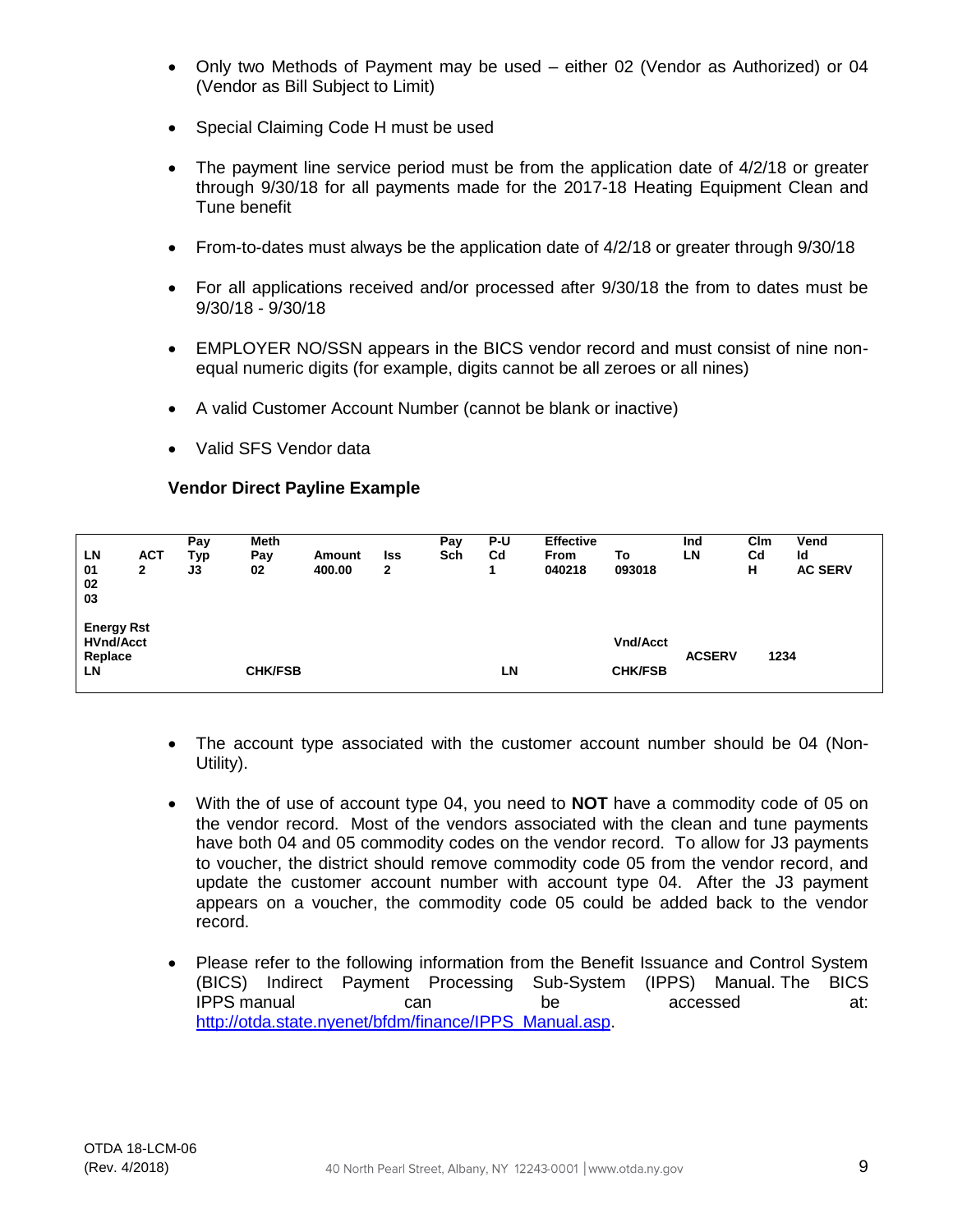- Only two Methods of Payment may be used either 02 (Vendor as Authorized) or 04 (Vendor as Bill Subject to Limit)
- Special Claiming Code H must be used
- The payment line service period must be from the application date of 4/2/18 or greater through 9/30/18 for all payments made for the 2017-18 Heating Equipment Clean and Tune benefit
- From-to-dates must always be the application date of 4/2/18 or greater through 9/30/18
- For all applications received and/or processed after 9/30/18 the from to dates must be 9/30/18 - 9/30/18
- EMPLOYER NO/SSN appears in the BICS vendor record and must consist of nine nonequal numeric digits (for example, digits cannot be all zeroes or all nines)
- A valid Customer Account Number (cannot be blank or inactive)
- Valid SFS Vendor data

# **Vendor Direct Payline Example**

|                   |            | Pay | Meth           |        |     | Pay | P-U            | <b>Effective</b> |                 | Ind           | Clm         | Vend           |
|-------------------|------------|-----|----------------|--------|-----|-----|----------------|------------------|-----------------|---------------|-------------|----------------|
| LN                | <b>ACT</b> | Тур | Pay            | Amount | lss | Sch | C <sub>d</sub> | <b>From</b>      | To              | LN            | $_{\rm Cd}$ | Id             |
| 01                | 2          | J3  | 02             | 400.00 | 2   |     |                | 040218           | 093018          |               | н           | <b>AC SERV</b> |
| 02                |            |     |                |        |     |     |                |                  |                 |               |             |                |
| 03                |            |     |                |        |     |     |                |                  |                 |               |             |                |
|                   |            |     |                |        |     |     |                |                  |                 |               |             |                |
| <b>Energy Rst</b> |            |     |                |        |     |     |                |                  |                 |               |             |                |
| <b>HVnd/Acct</b>  |            |     |                |        |     |     |                |                  | <b>Vnd/Acct</b> |               |             |                |
| Replace           |            |     |                |        |     |     |                |                  |                 | <b>ACSERV</b> |             | 1234           |
| LN                |            |     | <b>CHK/FSB</b> |        |     |     | LN             |                  | <b>CHK/FSB</b>  |               |             |                |
|                   |            |     |                |        |     |     |                |                  |                 |               |             |                |

- The account type associated with the customer account number should be 04 (Non-Utility).
- With the of use of account type 04, you need to **NOT** have a commodity code of 05 on the vendor record. Most of the vendors associated with the clean and tune payments have both 04 and 05 commodity codes on the vendor record. To allow for J3 payments to voucher, the district should remove commodity code 05 from the vendor record, and update the customer account number with account type 04. After the J3 payment appears on a voucher, the commodity code 05 could be added back to the vendor record.
- Please refer to the following information from the Benefit Issuance and Control System (BICS) Indirect Payment Processing Sub-System (IPPS) Manual. The BICS IPPS manual can be accessed at: [http://otda.state.nyenet/bfdm/finance/IPPS\\_Manual.asp.](http://otda.state.nyenet/bfdm/finance/IPPS_Manual.asp)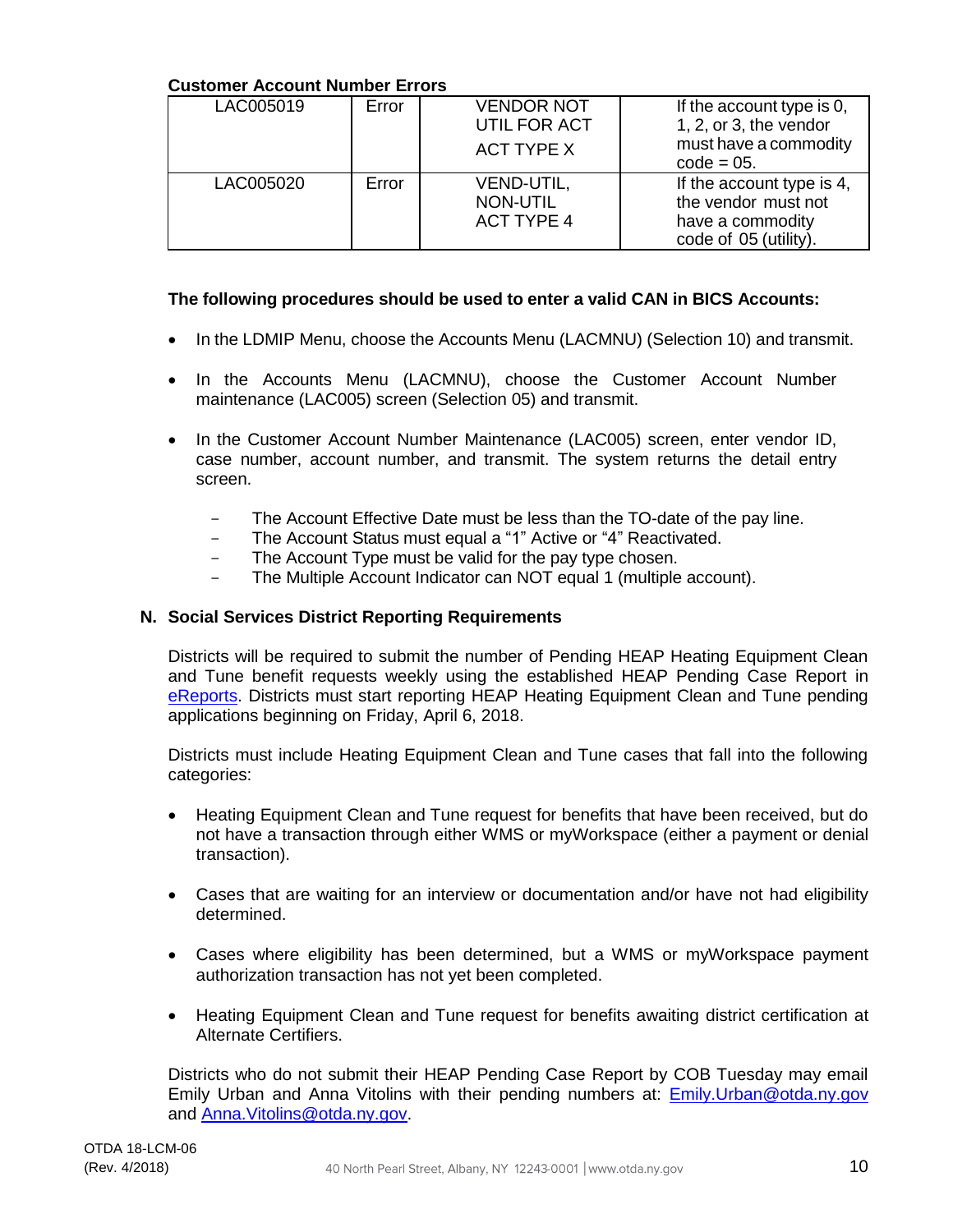# **Customer Account Number Errors**

| LAC005019 | Error | <b>VENDOR NOT</b><br>UTIL FOR ACT<br><b>ACT TYPE X</b> | If the account type is 0,<br>1, 2, or 3, the vendor<br>must have a commodity<br>$code = 05$ . |
|-----------|-------|--------------------------------------------------------|-----------------------------------------------------------------------------------------------|
| LAC005020 | Error | VEND-UTIL,<br>NON-UTIL<br><b>ACT TYPE 4</b>            | If the account type is 4,<br>the vendor must not<br>have a commodity<br>code of 05 (utility). |

# **The following procedures should be used to enter a valid CAN in BICS Accounts:**

- In the LDMIP Menu, choose the Accounts Menu (LACMNU) (Selection 10) and transmit.
- In the Accounts Menu (LACMNU), choose the Customer Account Number maintenance (LAC005) screen (Selection 05) and transmit.
- In the Customer Account Number Maintenance (LAC005) screen, enter vendor ID, case number, account number, and transmit. The system returns the detail entry screen.
	- The Account Effective Date must be less than the TO-date of the pay line.
	- The Account Status must equal a "1" Active or "4" Reactivated.
	- The Account Type must be valid for the pay type chosen.
	- The Multiple Account Indicator can NOT equal 1 (multiple account).

#### **N. Social Services District Reporting Requirements**

Districts will be required to submit the number of Pending HEAP Heating Equipment Clean and Tune benefit requests weekly using the established HEAP Pending Case Report in [eReports.](https://ereports.otda.state.nyenet/eReports/Menu.aspx) Districts must start reporting HEAP Heating Equipment Clean and Tune pending applications beginning on Friday, April 6, 2018.

Districts must include Heating Equipment Clean and Tune cases that fall into the following categories:

- Heating Equipment Clean and Tune request for benefits that have been received, but do not have a transaction through either WMS or myWorkspace (either a payment or denial transaction).
- Cases that are waiting for an interview or documentation and/or have not had eligibility determined.
- Cases where eligibility has been determined, but a WMS or myWorkspace payment authorization transaction has not yet been completed.
- Heating Equipment Clean and Tune request for benefits awaiting district certification at Alternate Certifiers.

Districts who do not submit their HEAP Pending Case Report by COB Tuesday may email Emily Urban and Anna Vitolins with their pending numbers at: [Emily.Urban@otda.ny.gov](mailto:Emily.Urban@otda.ny.gov) and [Anna.Vitolins@otda.ny.gov.](mailto:Anna.Vitolins@otda.ny.gov)